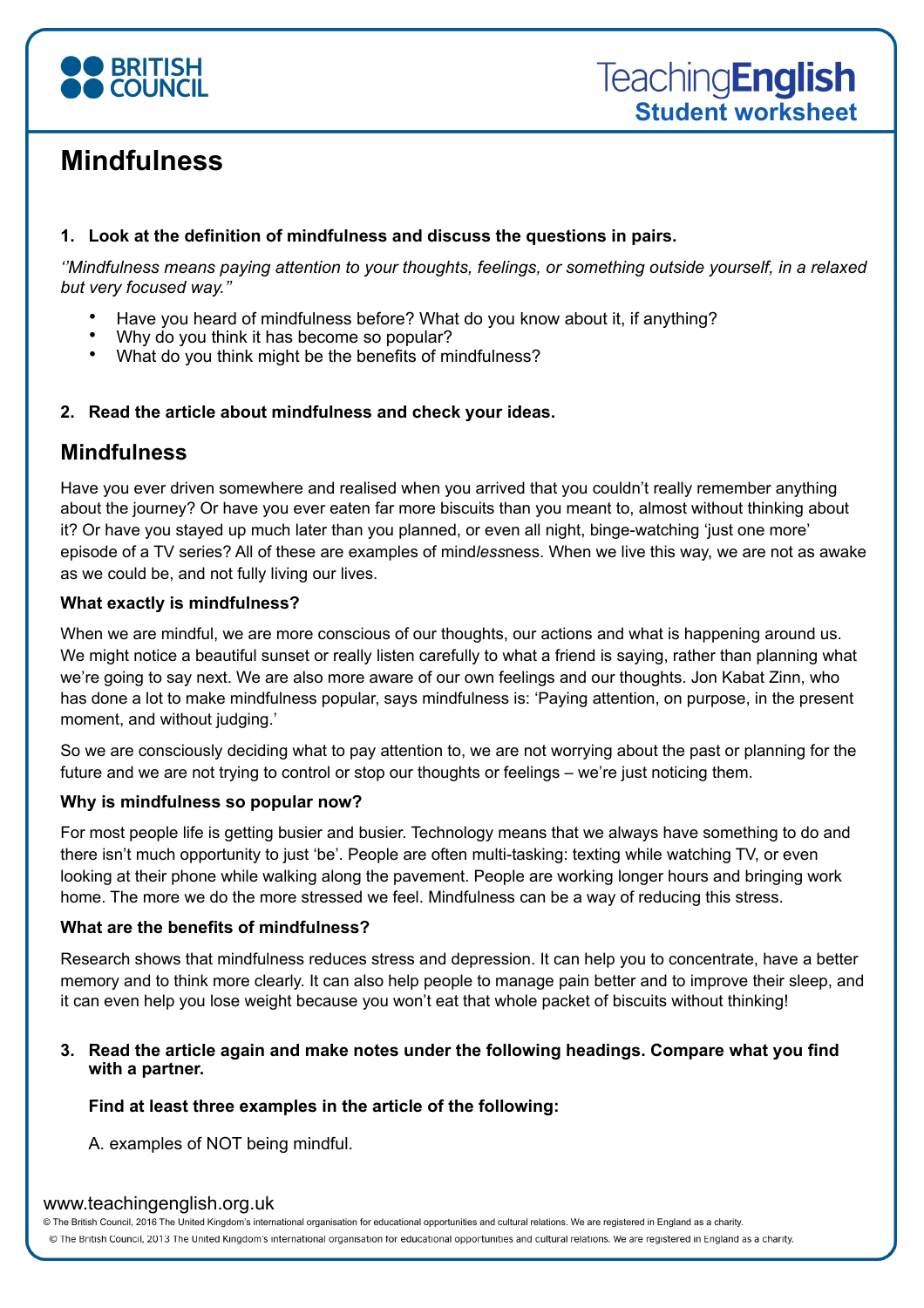

# **Mindfulness**

### **1. Look at the definition of mindfulness and discuss the questions in pairs.**

*[''Mindfulness means paying attention to your thoughts, feelings, or something outside yourself, in a relaxed](https://www.azquotes.com/quote/698666)  [but very focused way.](https://www.azquotes.com/quote/698666)''* 

- Have you heard of mindfulness before? What do you know about it, if anything?
- Why do you think it has become so popular?
- What do you think might be the benefits of mindfulness?

# **2. Read the article about mindfulness and check your ideas.**

# **Mindfulness**

Have you ever driven somewhere and realised when you arrived that you couldn't really remember anything about the journey? Or have you ever eaten far more biscuits than you meant to, almost without thinking about it? Or have you stayed up much later than you planned, or even all night, binge-watching 'just one more' episode of a TV series? All of these are examples of mind*less*ness. When we live this way, we are not as awake as we could be, and not fully living our lives.

## **What exactly is mindfulness?**

When we are mindful, we are more conscious of our thoughts, our actions and what is happening around us. We might notice a beautiful sunset or really listen carefully to what a friend is saying, rather than planning what we're going to say next. We are also more aware of our own feelings and our thoughts. Jon Kabat Zinn, who has done a lot to make mindfulness popular, says mindfulness is: 'Paying attention, on purpose, in the present moment, and without judging.'

So we are consciously deciding what to pay attention to, we are not worrying about the past or planning for the future and we are not trying to control or stop our thoughts or feelings – we're just noticing them.

# **Why is mindfulness so popular now?**

For most people life is getting busier and busier. Technology means that we always have something to do and there isn't much opportunity to just 'be'. People are often multi-tasking: texting while watching TV, or even looking at their phone while walking along the pavement. People are working longer hours and bringing work home. The more we do the more stressed we feel. Mindfulness can be a way of reducing this stress.

### **What are the benefits of mindfulness?**

Research shows that mindfulness reduces stress and depression. It can help you to concentrate, have a better memory and to think more clearly. It can also help people to manage pain better and to improve their sleep, and it can even help you lose weight because you won't eat that whole packet of biscuits without thinking!

### **3. Read the article again and make notes under the following headings. Compare what you find with a partner.**

### **Find at least three examples in the article of the following:**

A. examples of NOT being mindful.

### www.teachingenglish.org.uk

© The British Council, 2016 The United Kingdom's international organisation for educational opportunities and cultural relations. We are registered in England as a charity.

@ The British Council, 2013 The United Kingdom's international organisation for educational opportunities and cultural relations. We are registered in England as a charity.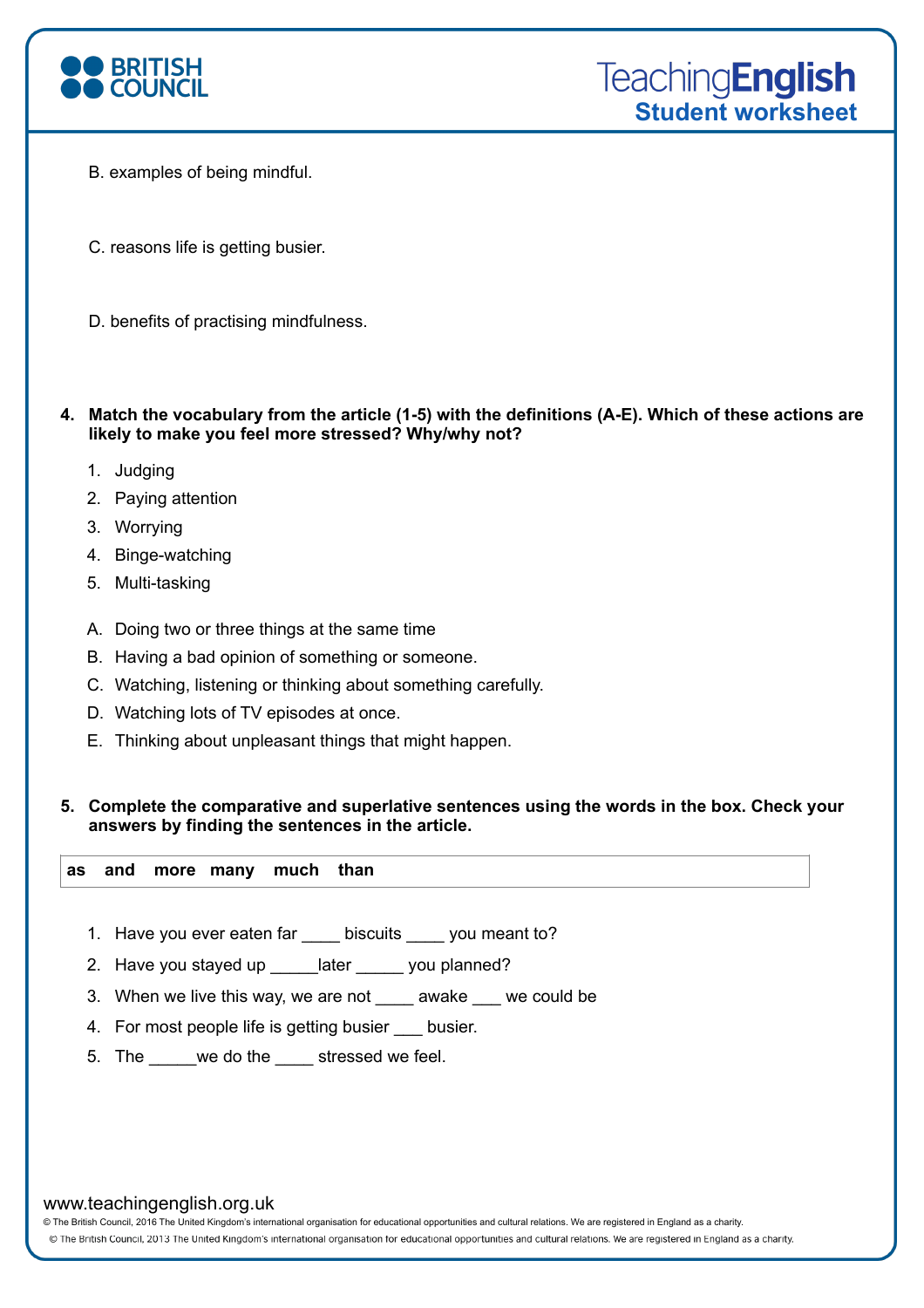

- B. examples of being mindful.
- C. reasons life is getting busier.
- D. benefits of practising mindfulness.
- **4. Match the vocabulary from the article (1-5) with the definitions (A-E). Which of these actions are likely to make you feel more stressed? Why/why not?** 
	- 1. Judging
	- 2. Paying attention
	- 3. Worrying
	- 4. Binge-watching
	- 5. Multi-tasking
	- A. Doing two or three things at the same time
	- B. Having a bad opinion of something or someone.
	- C. Watching, listening or thinking about something carefully.
	- D. Watching lots of TV episodes at once.
	- E. Thinking about unpleasant things that might happen.

#### **5. Complete the comparative and superlative sentences using the words in the box. Check your answers by finding the sentences in the article.**

**as and more many much than**

- 1. Have you ever eaten far \_\_\_\_ biscuits \_\_\_\_ you meant to?
- 2. Have you stayed up \_\_\_\_\_later \_\_\_\_\_ you planned?
- 3. When we live this way, we are not \_\_\_\_ awake \_\_\_ we could be
- 4. For most people life is getting busier busier.
- 5. The we do the stressed we feel.

#### www.teachingenglish.org.uk

© The British Council, 2016 The United Kingdom's international organisation for educational opportunities and cultural relations. We are registered in England as a charity.

@ The British Council, 2013 The United Kingdom's international organisation for educational opportunities and cultural relations. We are registered in England as a charity.